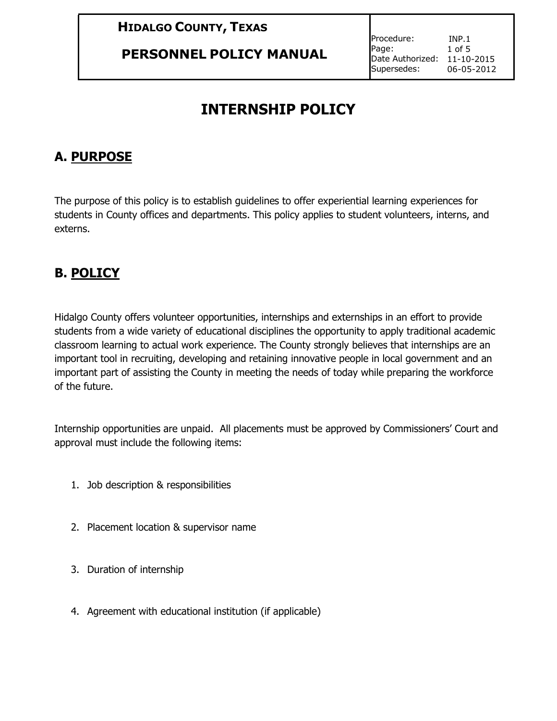**PERSONNEL POLICY MANUAL**

Procedure: Page: Date Authorized: 11-10-2015 Supersedes: INP.1 1 of 5 06-05-2012

# **INTERNSHIP POLICY**

#### **A. PURPOSE**

The purpose of this policy is to establish guidelines to offer experiential learning experiences for students in County offices and departments. This policy applies to student volunteers, interns, and externs.

## **B. POLICY**

Hidalgo County offers volunteer opportunities, internships and externships in an effort to provide students from a wide variety of educational disciplines the opportunity to apply traditional academic classroom learning to actual work experience. The County strongly believes that internships are an important tool in recruiting, developing and retaining innovative people in local government and an important part of assisting the County in meeting the needs of today while preparing the workforce of the future.

Internship opportunities are unpaid. All placements must be approved by Commissioners' Court and approval must include the following items:

- 1. Job description & responsibilities
- 2. Placement location & supervisor name
- 3. Duration of internship
- 4. Agreement with educational institution (if applicable)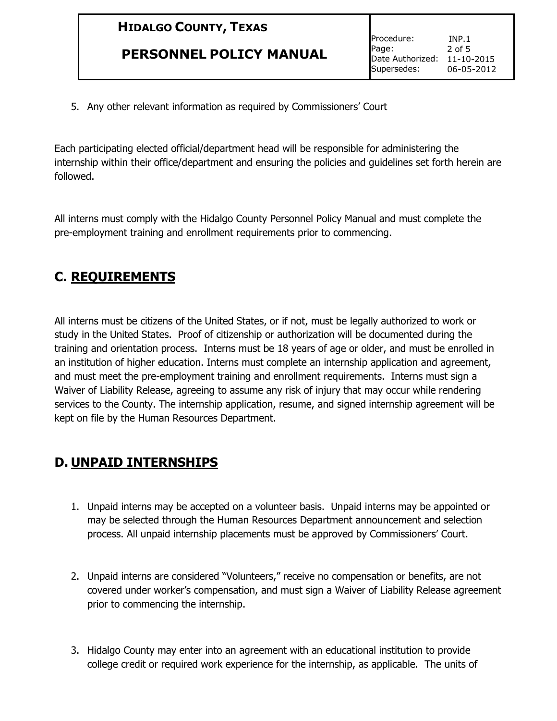#### **PERSONNEL POLICY MANUAL**

Procedure: Page: Date Authorized: 11-10-2015 Supersedes: INP.1 2 of 5 06-05-2012

5. Any other relevant information as required by Commissioners' Court

Each participating elected official/department head will be responsible for administering the internship within their office/department and ensuring the policies and guidelines set forth herein are followed.

All interns must comply with the Hidalgo County Personnel Policy Manual and must complete the pre-employment training and enrollment requirements prior to commencing.

## **C. REQUIREMENTS**

All interns must be citizens of the United States, or if not, must be legally authorized to work or study in the United States. Proof of citizenship or authorization will be documented during the training and orientation process. Interns must be 18 years of age or older, and must be enrolled in an institution of higher education. Interns must complete an internship application and agreement, and must meet the pre-employment training and enrollment requirements. Interns must sign a Waiver of Liability Release, agreeing to assume any risk of injury that may occur while rendering services to the County. The internship application, resume, and signed internship agreement will be kept on file by the Human Resources Department.

### **D. UNPAID INTERNSHIPS**

- 1. Unpaid interns may be accepted on a volunteer basis. Unpaid interns may be appointed or may be selected through the Human Resources Department announcement and selection process. All unpaid internship placements must be approved by Commissioners' Court.
- 2. Unpaid interns are considered "Volunteers," receive no compensation or benefits, are not covered under worker's compensation, and must sign a Waiver of Liability Release agreement prior to commencing the internship.
- 3. Hidalgo County may enter into an agreement with an educational institution to provide college credit or required work experience for the internship, as applicable. The units of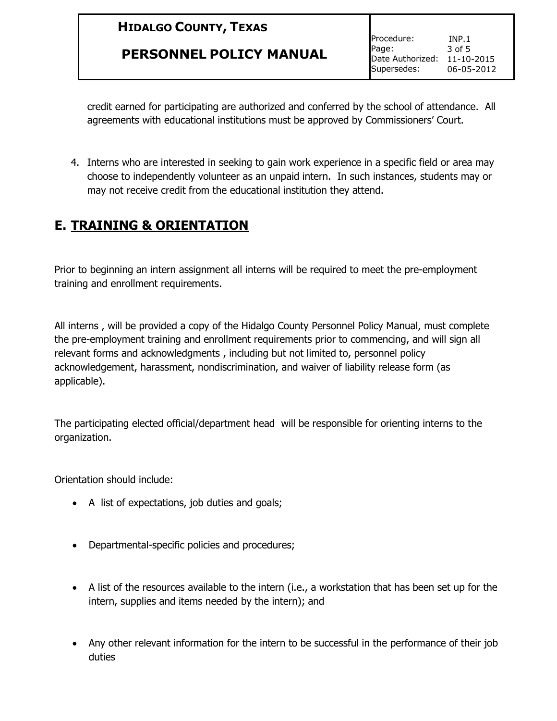#### **PERSONNEL POLICY MANUAL**

Procedure: Page: Date Authorized: 11-10-2015 Supersedes: INP.1 3 of 5 06-05-2012

credit earned for participating are authorized and conferred by the school of attendance. All agreements with educational institutions must be approved by Commissioners' Court.

4. Interns who are interested in seeking to gain work experience in a specific field or area may choose to independently volunteer as an unpaid intern. In such instances, students may or may not receive credit from the educational institution they attend.

#### **E. TRAINING & ORIENTATION**

Prior to beginning an intern assignment all interns will be required to meet the pre-employment training and enrollment requirements.

All interns , will be provided a copy of the Hidalgo County Personnel Policy Manual, must complete the pre-employment training and enrollment requirements prior to commencing, and will sign all relevant forms and acknowledgments , including but not limited to, personnel policy acknowledgement, harassment, nondiscrimination, and waiver of liability release form (as applicable).

The participating elected official/department head will be responsible for orienting interns to the organization.

Orientation should include:

- A list of expectations, job duties and goals;
- Departmental-specific policies and procedures;
- A list of the resources available to the intern (i.e., a workstation that has been set up for the intern, supplies and items needed by the intern); and
- Any other relevant information for the intern to be successful in the performance of their job duties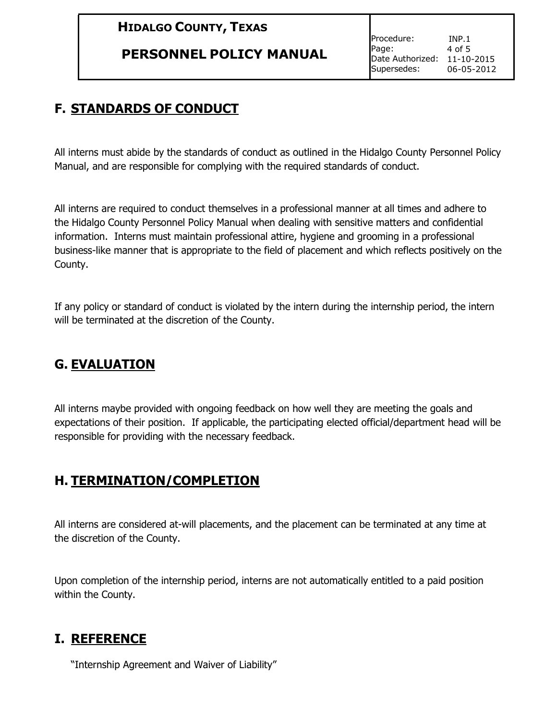#### **PERSONNEL POLICY MANUAL**

Procedure: Page: Date Authorized: 11-10-2015 Supersedes: INP.1 4 of 5 06-05-2012

## **F. STANDARDS OF CONDUCT**

All interns must abide by the standards of conduct as outlined in the Hidalgo County Personnel Policy Manual, and are responsible for complying with the required standards of conduct.

All interns are required to conduct themselves in a professional manner at all times and adhere to the Hidalgo County Personnel Policy Manual when dealing with sensitive matters and confidential information. Interns must maintain professional attire, hygiene and grooming in a professional business-like manner that is appropriate to the field of placement and which reflects positively on the County.

If any policy or standard of conduct is violated by the intern during the internship period, the intern will be terminated at the discretion of the County.

### **G. EVALUATION**

All interns maybe provided with ongoing feedback on how well they are meeting the goals and expectations of their position. If applicable, the participating elected official/department head will be responsible for providing with the necessary feedback.

### **H. TERMINATION/COMPLETION**

All interns are considered at-will placements, and the placement can be terminated at any time at the discretion of the County.

Upon completion of the internship period, interns are not automatically entitled to a paid position within the County.

#### **I. REFERENCE**

"Internship Agreement and Waiver of Liability"